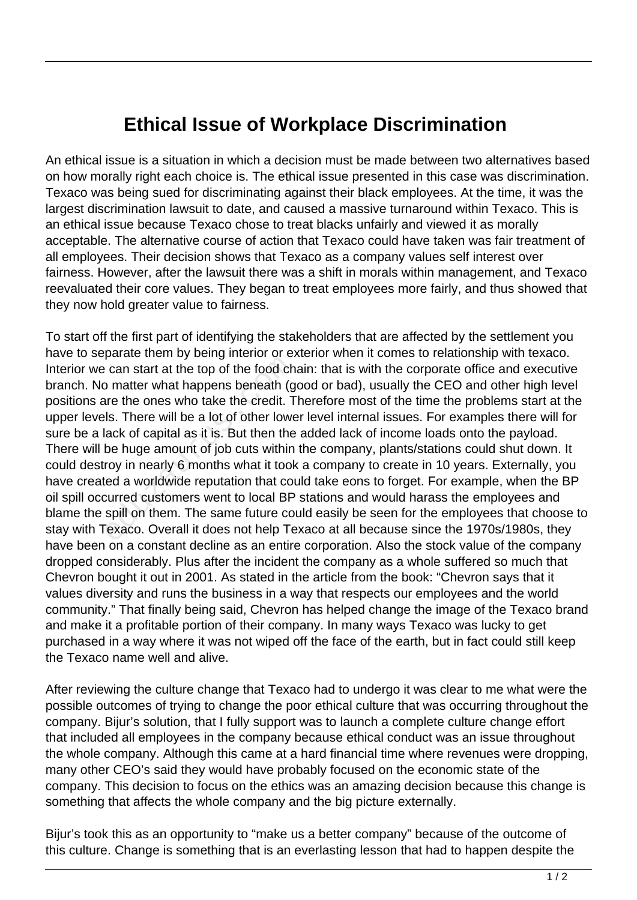## **Ethical Issue of Workplace Discrimination**

An ethical issue is a situation in which a decision must be made between two alternatives based on how morally right each choice is. The ethical issue presented in this case was discrimination. Texaco was being sued for discriminating against their black employees. At the time, it was the largest discrimination lawsuit to date, and caused a massive turnaround within Texaco. This is an ethical issue because Texaco chose to treat blacks unfairly and viewed it as morally acceptable. The alternative course of action that Texaco could have taken was fair treatment of all employees. Their decision shows that Texaco as a company values self interest over fairness. However, after the lawsuit there was a shift in morals within management, and Texaco reevaluated their core values. They began to treat employees more fairly, and thus showed that they now hold greater value to fairness.

To start off the first part of identifying the stakeholders that are affected by the settlement you have to separate them by being interior or exterior when it comes to relationship with texaco. Interior we can start at the top of the food chain: that is with the corporate office and executive branch. No matter what happens beneath (good or bad), usually the CEO and other high level positions are the ones who take the credit. Therefore most of the time the problems start at the upper levels. There will be a lot of other lower level internal issues. For examples there will for sure be a lack of capital as it is. But then the added lack of income loads onto the payload. There will be huge amount of job cuts within the company, plants/stations could shut down. It could destroy in nearly 6 months what it took a company to create in 10 years. Externally, you have created a worldwide reputation that could take eons to forget. For example, when the BP oil spill occurred customers went to local BP stations and would harass the employees and blame the spill on them. The same future could easily be seen for the employees that choose to stay with Texaco. Overall it does not help Texaco at all because since the 1970s/1980s, they have been on a constant decline as an entire corporation. Also the stock value of the company dropped considerably. Plus after the incident the company as a whole suffered so much that Chevron bought it out in 2001. As stated in the article from the book: "Chevron says that it values diversity and runs the business in a way that respects our employees and the world community." That finally being said, Chevron has helped change the image of the Texaco brand and make it a profitable portion of their company. In many ways Texaco was lucky to get purchased in a way where it was not wiped off the face of the earth, but in fact could still keep the Texaco name well and alive. can start at the top of the food ch<br>
b matter what happens beneath (g<br>
ire the ones who take the credit. T<br>
ls. There will be a lot of other lowe<br>
ack of capital as it is. But then the<br>
be huge amount of job cuts within<br>
r

After reviewing the culture change that Texaco had to undergo it was clear to me what were the possible outcomes of trying to change the poor ethical culture that was occurring throughout the company. Bijur's solution, that I fully support was to launch a complete culture change effort that included all employees in the company because ethical conduct was an issue throughout the whole company. Although this came at a hard financial time where revenues were dropping, many other CEO's said they would have probably focused on the economic state of the company. This decision to focus on the ethics was an amazing decision because this change is something that affects the whole company and the big picture externally.

Bijur's took this as an opportunity to "make us a better company" because of the outcome of this culture. Change is something that is an everlasting lesson that had to happen despite the